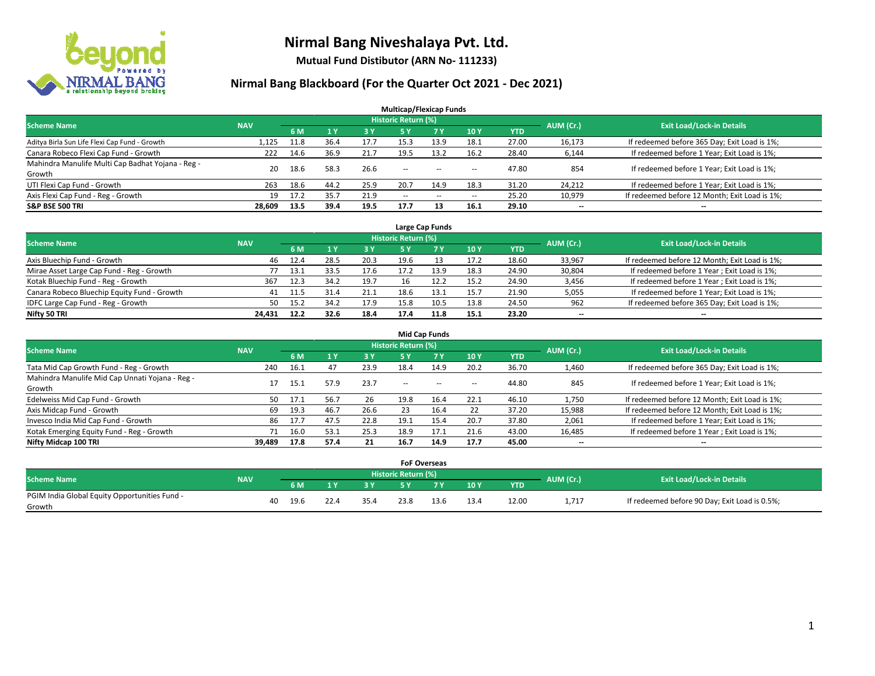

**Mutual Fund Distibutor (ARN No- 111233)**

| <b>Multicap/Flexicap Funds</b>                    |            |      |      |      |                     |                                                |                          |            |           |                                               |  |  |  |
|---------------------------------------------------|------------|------|------|------|---------------------|------------------------------------------------|--------------------------|------------|-----------|-----------------------------------------------|--|--|--|
| <b>Scheme Name</b>                                | <b>NAV</b> |      |      |      | Historic Return (%) |                                                |                          |            | AUM (Cr.) | <b>Exit Load/Lock-in Details</b>              |  |  |  |
|                                                   |            | 6 M  | 1Y   | 3 Y  | <b>5Y</b>           | 7 Y                                            | 10Y                      | <b>YTD</b> |           |                                               |  |  |  |
| Aditya Birla Sun Life Flexi Cap Fund - Growth     | 1,125      | 11.8 | 36.4 | 17.7 | 15.3                | 13.9                                           | 18.1                     | 27.00      | 16,173    | If redeemed before 365 Day; Exit Load is 1%;  |  |  |  |
| Canara Robeco Flexi Cap Fund - Growth             | 222        | 14.6 | 36.9 | 21.7 | 19.5                | 13.2                                           | 16.2                     | 28.40      | 6,144     | If redeemed before 1 Year; Exit Load is 1%;   |  |  |  |
| Mahindra Manulife Multi Cap Badhat Yojana - Reg - | 20         | 18.6 | 58.3 | 26.6 | $\sim$              |                                                |                          | 47.80      | 854       | If redeemed before 1 Year; Exit Load is 1%;   |  |  |  |
| Growth                                            |            |      |      |      |                     | $- -$                                          | $\overline{\phantom{a}}$ |            |           |                                               |  |  |  |
| UTI Flexi Cap Fund - Growth                       | 263        | 18.6 | 44.2 | 25.9 | 20.7                | 14.9                                           | 18.3                     | 31.20      | 24,212    | If redeemed before 1 Year; Exit Load is 1%;   |  |  |  |
| Axis Flexi Cap Fund - Reg - Growth                | 19         | 17.2 | 35.7 | 21.9 | $\sim$ $\sim$       | $\hspace{0.1mm}-\hspace{0.1mm}-\hspace{0.1mm}$ | $\overline{\phantom{a}}$ | 25.20      | 10,979    | If redeemed before 12 Month; Exit Load is 1%; |  |  |  |
| <b>S&amp;P BSE 500 TRI</b>                        | 28.609     | 13.5 | 39.4 | 19.5 | 17.7                | 13                                             | 16.1                     | 29.10      | $- -$     | $- -$                                         |  |  |  |

| Large Cap Funds                             |            |      |      |      |                            |      |           |                                  |        |                                               |  |  |  |
|---------------------------------------------|------------|------|------|------|----------------------------|------|-----------|----------------------------------|--------|-----------------------------------------------|--|--|--|
| <b>Scheme Name</b>                          | <b>NAV</b> |      |      |      | <b>Historic Return (%)</b> |      | AUM (Cr.) | <b>Exit Load/Lock-in Details</b> |        |                                               |  |  |  |
|                                             |            | 6 M  |      | 3 Y  |                            | 7 Y  | 10Y       | YTD                              |        |                                               |  |  |  |
| Axis Bluechip Fund - Growth                 | 46         | 12.4 | 28.5 | 20.3 | 19.6                       |      | 17.2      | 18.60                            | 33,967 | If redeemed before 12 Month; Exit Load is 1%; |  |  |  |
| Mirae Asset Large Cap Fund - Reg - Growth   | 77         | 13.1 | 33.5 | 17.6 | 17.2                       | 13.9 | 18.3      | 24.90                            | 30,804 | If redeemed before 1 Year; Exit Load is 1%;   |  |  |  |
| Kotak Bluechip Fund - Reg - Growth          | 367        | 12.3 | 34.2 | 19.7 | 16                         | 12.2 | 15.2      | 24.90                            | 3,456  | If redeemed before 1 Year; Exit Load is 1%;   |  |  |  |
| Canara Robeco Bluechip Equity Fund - Growth | 41         | 11.5 | 31.4 | 21.1 | 18.6                       | 13.1 | 15.7      | 21.90                            | 5,055  | If redeemed before 1 Year; Exit Load is 1%;   |  |  |  |
| IDFC Large Cap Fund - Reg - Growth          | 50         | 15.2 | 34.2 | 17.9 | 15.8                       | 10.5 | 13.8      | 24.50                            | 962    | If redeemed before 365 Day; Exit Load is 1%;  |  |  |  |
| Nifty 50 TRI                                | 24.431     | 12.2 | 32.6 | 18.4 | 17.4                       | 11.8 | 15.1      | 23.20                            | $- -$  | $- -$                                         |  |  |  |

| <b>Mid Cap Funds</b>                            |            |      |      |      |                            |           |                          |            |           |                                               |  |  |  |
|-------------------------------------------------|------------|------|------|------|----------------------------|-----------|--------------------------|------------|-----------|-----------------------------------------------|--|--|--|
| <b>Scheme Name</b>                              | <b>NAV</b> |      |      |      | <b>Historic Return (%)</b> |           |                          |            | AUM (Cr.) | <b>Exit Load/Lock-in Details</b>              |  |  |  |
|                                                 |            | 6 M  |      | 3 Y  | 5 Y                        | <b>7Y</b> | 10Y                      | <b>YTD</b> |           |                                               |  |  |  |
| Tata Mid Cap Growth Fund - Reg - Growth         | 240        | 16.1 | 47   | 23.9 | 18.4                       | 14.9      | 20.2                     | 36.70      | 1,460     | If redeemed before 365 Day; Exit Load is 1%;  |  |  |  |
| Mahindra Manulife Mid Cap Unnati Yojana - Reg - |            | 15.1 | 57.9 | 23.7 | $-$                        | $\sim$    | $\overline{\phantom{a}}$ | 44.80      | 845       | If redeemed before 1 Year; Exit Load is 1%;   |  |  |  |
| Growth                                          |            |      |      |      |                            |           |                          |            |           |                                               |  |  |  |
| Edelweiss Mid Cap Fund - Growth                 | 50         | 17.1 | 56.7 | 26   | 19.8                       | 16.4      | 22.1                     | 46.10      | 1,750     | If redeemed before 12 Month; Exit Load is 1%; |  |  |  |
| Axis Midcap Fund - Growth                       | 69         | 19.3 | 46.7 | 26.6 | 23                         | 16.4      | 22                       | 37.20      | 15,988    | If redeemed before 12 Month; Exit Load is 1%; |  |  |  |
| Invesco India Mid Cap Fund - Growth             | 86         | 17.7 | 47.5 | 22.8 | 19.1                       | 15.4      | 20.7                     | 37.80      | 2,061     | If redeemed before 1 Year; Exit Load is 1%;   |  |  |  |
| Kotak Emerging Equity Fund - Reg - Growth       |            | 16.0 | 53.1 | 25.3 | 18.9                       | 17.1      | 21.6                     | 43.00      | 16,485    | If redeemed before 1 Year; Exit Load is 1%;   |  |  |  |
| Nifty Midcap 100 TRI                            | 39.489     | 17.8 | 57.4 | 21   | 16.7                       | 14.9      | 17.7                     | 45.00      | $- -$     | $\overline{\phantom{a}}$                      |  |  |  |

|                                               |            |    |      |      |      |                     | <b>FoF Overseas</b> |      |       |           |                                               |
|-----------------------------------------------|------------|----|------|------|------|---------------------|---------------------|------|-------|-----------|-----------------------------------------------|
| Scheme Name                                   | <b>NAV</b> |    |      |      |      | Historic Return (%) |                     |      |       | AUM (Cr.) | <b>Exit Load/Lock-in Details</b>              |
|                                               |            |    | 6 M  | ıν   | 3V   |                     | 7 V                 | 10Y  | YTD   |           |                                               |
| PGIM India Global Equity Opportunities Fund - |            | 40 | 19.6 | 22.4 | 35.4 | 23.8                | 13.6                | 13.4 | 12.00 | 1,717     | If redeemed before 90 Day; Exit Load is 0.5%; |
| Growth                                        |            |    |      |      |      |                     |                     |      |       |           |                                               |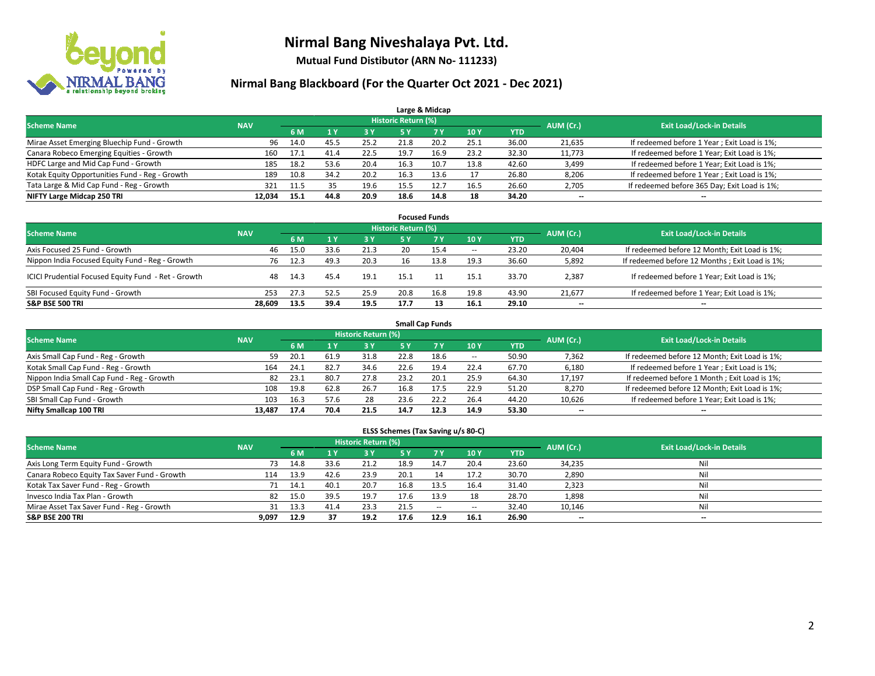

**Mutual Fund Distibutor (ARN No- 111233)**

### **Nirmal Bang Blackboard (For the Quarter Oct 2021 - Dec 2021)**

|                                                |            |      |      |      |                     | Large & Midcap |      |            |                          |                                              |
|------------------------------------------------|------------|------|------|------|---------------------|----------------|------|------------|--------------------------|----------------------------------------------|
| <b>Scheme Name</b>                             | <b>NAV</b> |      |      |      | Historic Return (%) |                |      |            | AUM (Cr.)                | <b>Exit Load/Lock-in Details</b>             |
|                                                |            | 6 M  |      | 3 Y  | 5 Y                 | 7 Y            | 10Y  | <b>YTD</b> |                          |                                              |
| Mirae Asset Emerging Bluechip Fund - Growth    | 96         | 14.0 | 45.5 | 25.2 | 21.8                | 20.2           | 25.1 | 36.00      | 21,635                   | If redeemed before 1 Year; Exit Load is 1%;  |
| Canara Robeco Emerging Equities - Growth       | 160        | 17.1 | 41.4 | 22.5 | 19.7                | 16.9           | 23.2 | 32.30      | 11,773                   | If redeemed before 1 Year; Exit Load is 1%;  |
| HDFC Large and Mid Cap Fund - Growth           | 185        | 18.2 | 53.6 | 20.4 | 16.3                | 10.7           | 13.8 | 42.60      | 3,499                    | If redeemed before 1 Year; Exit Load is 1%;  |
| Kotak Equity Opportunities Fund - Reg - Growth | 189        | 10.8 | 34.2 | 20.2 | 16.3                | 13.6           |      | 26.80      | 8,206                    | If redeemed before 1 Year; Exit Load is 1%;  |
| Tata Large & Mid Cap Fund - Reg - Growth       | 321        | 11.5 | 35   | 19.6 | 15.5                | 12.7           | 16.5 | 26.60      | 2,705                    | If redeemed before 365 Day; Exit Load is 1%; |
| NIFTY Large Midcap 250 TRI                     | 12.034     | 15.1 | 44.8 | 20.9 | 18.6                | 14.8           | 18   | 34.20      | $\overline{\phantom{a}}$ | $- -$                                        |

| <b>Focused Funds</b>                                |            |      |      |      |                     |      |                          |       |                          |                                                 |  |  |  |
|-----------------------------------------------------|------------|------|------|------|---------------------|------|--------------------------|-------|--------------------------|-------------------------------------------------|--|--|--|
| <b>Scheme Name</b>                                  | <b>NAV</b> |      |      |      | Historic Return (%) |      |                          |       | AUM (Cr.)                | <b>Exit Load/Lock-in Details</b>                |  |  |  |
|                                                     |            | 6 M  |      | 73 Y | 5 Y                 | 7 Y  | 10Y                      | YTD   |                          |                                                 |  |  |  |
| Axis Focused 25 Fund - Growth                       | 46         | 15.0 | 33.6 | 21.3 |                     | 15.4 | $\overline{\phantom{a}}$ | 23.20 | 20,404                   | If redeemed before 12 Month; Exit Load is 1%;   |  |  |  |
| Nippon India Focused Equity Fund - Reg - Growth     | 76         | 12.3 | 49.3 | 20.3 | 16                  | 13.8 | 19.3                     | 36.60 | 5,892                    | If redeemed before 12 Months ; Exit Load is 1%; |  |  |  |
| ICICI Prudential Focused Equity Fund - Ret - Growth | 48         | 14.3 | 45.4 | 19.1 | 15.1                |      | 15.1                     | 33.70 | 2,387                    | If redeemed before 1 Year; Exit Load is 1%;     |  |  |  |
| SBI Focused Equity Fund - Growth                    | 253        | 27.3 | 52.5 | 25.9 | 20.8                | 16.8 | 19.8                     | 43.90 | 21,677                   | If redeemed before 1 Year; Exit Load is 1%;     |  |  |  |
| <b>S&amp;P BSE 500 TRI</b>                          | 28.609     | 13.5 | 39.4 | 19.5 | 17.7                |      | 16.1                     | 29.10 | $\overline{\phantom{a}}$ | --                                              |  |  |  |

|                                            | <b>Small Cap Funds</b> |           |                                  |      |      |           |            |            |        |                                               |  |  |  |  |  |
|--------------------------------------------|------------------------|-----------|----------------------------------|------|------|-----------|------------|------------|--------|-----------------------------------------------|--|--|--|--|--|
| <b>Scheme Name</b>                         | <b>NAV</b>             | AUM (Cr.) | <b>Exit Load/Lock-in Details</b> |      |      |           |            |            |        |                                               |  |  |  |  |  |
|                                            |                        | 6 M       |                                  | 3 Y  | 5 Y  | <b>7Y</b> | <b>10Y</b> | <b>YTD</b> |        |                                               |  |  |  |  |  |
| Axis Small Cap Fund - Reg - Growth         | 59                     | 20.1      | 61.9                             | 31.8 | 22.8 | 18.6      | $- -$      | 50.90      | 7,362  | If redeemed before 12 Month; Exit Load is 1%; |  |  |  |  |  |
| Kotak Small Cap Fund - Reg - Growth        | 164                    | 24.1      | 82.7                             | 34.6 | 22.6 | 19.4      | 22.4       | 67.70      | 6,180  | If redeemed before 1 Year; Exit Load is 1%;   |  |  |  |  |  |
| Nippon India Small Cap Fund - Reg - Growth | 82                     | 23.1      | 80.7                             | 27.8 | 23.2 | 20.1      | 25.9       | 64.30      | 17,197 | If redeemed before 1 Month; Exit Load is 1%;  |  |  |  |  |  |
| DSP Small Cap Fund - Reg - Growth          | 108                    | 19.8      | 62.8                             | 26.7 | 16.8 | 17.5      | 22.9       | 51.20      | 8,270  | If redeemed before 12 Month; Exit Load is 1%; |  |  |  |  |  |
| SBI Small Cap Fund - Growth                | 103                    | 16.3      | 57.6                             | 28   | 23.6 | 22.2      | 26.4       | 44.20      | 10,626 | If redeemed before 1 Year; Exit Load is 1%;   |  |  |  |  |  |
| Nifty Smallcap 100 TRI                     | 13.487                 | 17.4      | 70.4                             | 21.5 | 14.7 | 12.3      | 14.9       | 53.30      | --     | $\overline{\phantom{a}}$                      |  |  |  |  |  |

#### **ELSS Schemes (Tax Saving u/s 80-C)**

| <b>Scheme Name</b>                           | <b>NAV</b> |      |      | Historic Return (%) |           |           |                          |            | AUM (Cr.) | <b>Exit Load/Lock-in Details</b> |
|----------------------------------------------|------------|------|------|---------------------|-----------|-----------|--------------------------|------------|-----------|----------------------------------|
|                                              |            | 6 M  |      | <b>3Y</b>           | <b>5Y</b> | <b>7Y</b> | <b>10Y</b>               | <b>YTD</b> |           |                                  |
| Axis Long Term Equity Fund - Growth          | 73         | 14.8 | 33.6 | 21.2                | 18.9      | 14.7      | 20.4                     | 23.60      | 34,235    | Nil                              |
| Canara Robeco Equity Tax Saver Fund - Growth | 114        | 13.9 | 42.6 | 23.9                | 20.1      |           | 17.2                     | 30.70      | 2,890     | Nil                              |
| Kotak Tax Saver Fund - Reg - Growth          |            | 14.1 | 40.1 | 20.7                | 16.8      | 13.5      | 16.4                     | 31.40      | 2,323     | Nil                              |
| Invesco India Tax Plan - Growth              | 82         | 15.0 | 39.5 | 19.7                | 17.6      | 13.9      | 18                       | 28.70      | 1,898     | Nil                              |
| Mirae Asset Tax Saver Fund - Reg - Growth    | 31         | 13.3 | 41.4 | 23.3                | 21.5      | $\sim$    | $\overline{\phantom{a}}$ | 32.40      | 10,146    | Nil                              |
| <b>S&amp;P BSE 200 TRI</b>                   | 9.097      | 12.9 | 37   | 19.2                | 17.6      | 12.9      | 16.1                     | 26.90      | $- -$     | --                               |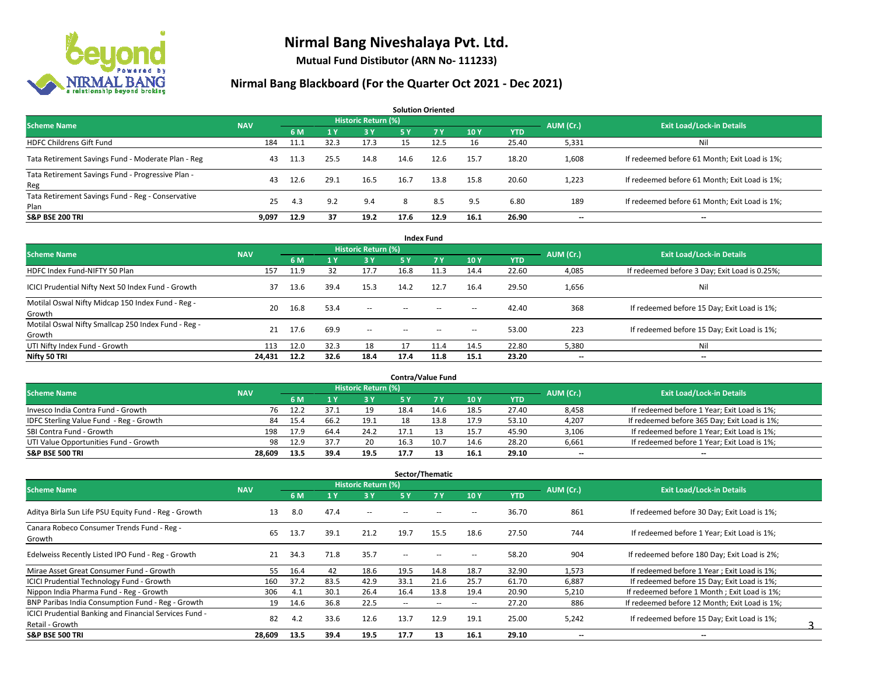

**Mutual Fund Distibutor (ARN No- 111233)**

| <b>Solution Oriented</b>                                  |            |      |      |                     |      |           |      |            |                          |                                               |  |  |  |
|-----------------------------------------------------------|------------|------|------|---------------------|------|-----------|------|------------|--------------------------|-----------------------------------------------|--|--|--|
| <b>Scheme Name</b>                                        | <b>NAV</b> |      |      | Historic Return (%) |      |           |      |            |                          | <b>Exit Load/Lock-in Details</b>              |  |  |  |
|                                                           |            | 6 M  |      | 3 Y                 | 5 Y  | <b>7Y</b> | 10Y  | <b>YTD</b> | AUM (Cr.)                |                                               |  |  |  |
| <b>HDFC Childrens Gift Fund</b>                           | 184        | 11.1 | 32.3 | 17.3                | 15   | 12.5      | 16   | 25.40      | 5,331                    | Nil                                           |  |  |  |
| Tata Retirement Savings Fund - Moderate Plan - Reg        | 43         | 11.3 | 25.5 | 14.8                | 14.6 | 12.6      | 15.7 | 18.20      | 1,608                    | If redeemed before 61 Month; Exit Load is 1%; |  |  |  |
| Tata Retirement Savings Fund - Progressive Plan -<br>Reg  | 43         | 12.6 | 29.1 | 16.5                | 16.7 | 13.8      | 15.8 | 20.60      | 1,223                    | If redeemed before 61 Month; Exit Load is 1%; |  |  |  |
| Tata Retirement Savings Fund - Reg - Conservative<br>Plan | 25         | 4.3  | 9.2  | 9.4                 | 8    | 8.5       | 9.5  | 6.80       | 189                      | If redeemed before 61 Month; Exit Load is 1%; |  |  |  |
| <b>S&amp;P BSE 200 TRI</b>                                | 9,097      | 12.9 | 37   | 19.2                | 17.6 | 12.9      | 16.1 | 26.90      | $\overline{\phantom{a}}$ | $- -$                                         |  |  |  |

| <b>Index Fund</b>                                             |            |      |      |                            |        |      |                          |            |           |                                               |  |  |  |  |
|---------------------------------------------------------------|------------|------|------|----------------------------|--------|------|--------------------------|------------|-----------|-----------------------------------------------|--|--|--|--|
| <b>Scheme Name</b>                                            | <b>NAV</b> |      |      | <b>Historic Return (%)</b> |        |      |                          |            | AUM (Cr.) | <b>Exit Load/Lock-in Details</b>              |  |  |  |  |
|                                                               |            | 6 M  | 1 Y  | <b>3 Y</b>                 | 5 Y    | 7Y   | 10Y                      | <b>YTD</b> |           |                                               |  |  |  |  |
| HDFC Index Fund-NIFTY 50 Plan                                 | 157        | 11.9 | 32   | 17.7                       | 16.8   | 11.3 | 14.4                     | 22.60      | 4,085     | If redeemed before 3 Day; Exit Load is 0.25%; |  |  |  |  |
| ICICI Prudential Nifty Next 50 Index Fund - Growth            | 37         | 13.6 | 39.4 | 15.3                       | 14.2   | 12.7 | 16.4                     | 29.50      | 1,656     | Nil                                           |  |  |  |  |
| Motilal Oswal Nifty Midcap 150 Index Fund - Reg -<br>Growth   | 20         | 16.8 | 53.4 | $\sim$                     | $\sim$ | $-$  | $\overline{\phantom{a}}$ | 42.40      | 368       | If redeemed before 15 Day; Exit Load is 1%;   |  |  |  |  |
| Motilal Oswal Nifty Smallcap 250 Index Fund - Reg -<br>Growth | 21         | 17.6 | 69.9 | $\sim$                     | $\sim$ | $-$  | $\overline{\phantom{a}}$ | 53.00      | 223       | If redeemed before 15 Day; Exit Load is 1%;   |  |  |  |  |
| UTI Nifty Index Fund - Growth                                 | 113        | 12.0 | 32.3 | 18                         |        | 11.4 | 14.5                     | 22.80      | 5,380     | Nil                                           |  |  |  |  |
| Nifty 50 TRI                                                  | 24,431     | 12.2 | 32.6 | 18.4                       | 17.4   | 11.8 | 15.1                     | 23.20      | $- -$     | $\overline{\phantom{a}}$                      |  |  |  |  |

| <b>Contra/Value Fund</b>                |            |      |      |                     |      |      |      |       |           |                                              |  |  |  |
|-----------------------------------------|------------|------|------|---------------------|------|------|------|-------|-----------|----------------------------------------------|--|--|--|
| <b>Scheme Name</b>                      | <b>NAV</b> |      |      | Historic Return (%) |      |      |      |       | AUM (Cr.) | <b>Exit Load/Lock-in Details</b>             |  |  |  |
|                                         |            | 6 M  |      | 3 Y                 |      |      | 10Y  | YTD   |           |                                              |  |  |  |
| Invesco India Contra Fund - Growth      | 76         | 12.2 |      | 19                  | 18.4 | 14.6 | 18.5 | 27.40 | 8,458     | If redeemed before 1 Year; Exit Load is 1%;  |  |  |  |
| IDFC Sterling Value Fund - Reg - Growth | 84         | 15.4 | 66.z | 19.1                |      | 13.8 | 17.9 | 53.10 | 4,207     | If redeemed before 365 Day; Exit Load is 1%; |  |  |  |
| SBI Contra Fund - Growth                | 198        | 17.9 | 64.4 | 24.2                | 17.1 |      | 15.7 | 45.90 | 3,106     | If redeemed before 1 Year; Exit Load is 1%;  |  |  |  |
| UTI Value Opportunities Fund - Growth   | 98         | 12.9 | 37.7 | 20                  | 16.3 | 10.7 | 14.6 | 28.20 | 6,661     | If redeemed before 1 Year; Exit Load is 1%;  |  |  |  |
| <b>S&amp;P BSE 500 TRI</b>              | 28.609     | 13.5 | 39.4 | 19.5                | 17.7 |      | 16.1 | 29.10 | $- -$     | $- -$                                        |  |  |  |

| Sector/Thematic                                                           |            |      |      |                            |               |                          |                          |            |                          |                                               |  |  |  |
|---------------------------------------------------------------------------|------------|------|------|----------------------------|---------------|--------------------------|--------------------------|------------|--------------------------|-----------------------------------------------|--|--|--|
| <b>Scheme Name</b>                                                        | <b>NAV</b> |      |      | <b>Historic Return (%)</b> |               |                          |                          |            | AUM (Cr.)                | <b>Exit Load/Lock-in Details</b>              |  |  |  |
|                                                                           |            | 6 M  | 1 Y  | 3 Y                        | 5 Y           | <b>7Y</b>                | 10Y                      | <b>YTD</b> |                          |                                               |  |  |  |
| Aditya Birla Sun Life PSU Equity Fund - Reg - Growth                      | 13         | 8.0  | 47.4 | $\overline{\phantom{a}}$   | --            |                          | -                        | 36.70      | 861                      | If redeemed before 30 Day; Exit Load is 1%;   |  |  |  |
| Canara Robeco Consumer Trends Fund - Reg -<br>Growth                      | 65         | 13.7 | 39.1 | 21.2                       | 19.7          | 15.5                     | 18.6                     | 27.50      | 744                      | If redeemed before 1 Year; Exit Load is 1%;   |  |  |  |
| Edelweiss Recently Listed IPO Fund - Reg - Growth                         | 21         | 34.3 | 71.8 | 35.7                       | $\sim$ $\sim$ |                          |                          | 58.20      | 904                      | If redeemed before 180 Day; Exit Load is 2%;  |  |  |  |
| Mirae Asset Great Consumer Fund - Growth                                  | 55         | 16.4 | 42   | 18.6                       | 19.5          | 14.8                     | 18.7                     | 32.90      | 1,573                    | If redeemed before 1 Year; Exit Load is 1%;   |  |  |  |
| <b>ICICI Prudential Technology Fund - Growth</b>                          | 160        | 37.2 | 83.5 | 42.9                       | 33.1          | 21.6                     | 25.7                     | 61.70      | 6,887                    | If redeemed before 15 Day; Exit Load is 1%;   |  |  |  |
| Nippon India Pharma Fund - Reg - Growth                                   | 306        | 4.1  | 30.1 | 26.4                       | 16.4          | 13.8                     | 19.4                     | 20.90      | 5,210                    | If redeemed before 1 Month; Exit Load is 1%;  |  |  |  |
| BNP Paribas India Consumption Fund - Reg - Growth                         | 19         | 14.6 | 36.8 | 22.5                       | $\sim$        | $\overline{\phantom{a}}$ | $\overline{\phantom{a}}$ | 27.20      | 886                      | If redeemed before 12 Month: Exit Load is 1%: |  |  |  |
| ICICI Prudential Banking and Financial Services Fund -<br>Retail - Growth | 82         | 4.2  | 33.6 | 12.6                       | 13.7          | 12.9                     | 19.1                     | 25.00      | 5,242                    | If redeemed before 15 Day; Exit Load is 1%;   |  |  |  |
| <b>S&amp;P BSE 500 TRI</b>                                                | 28,609     | 13.5 | 39.4 | 19.5                       | 17.7          | 13                       | 16.1                     | 29.10      | $\overline{\phantom{a}}$ | --                                            |  |  |  |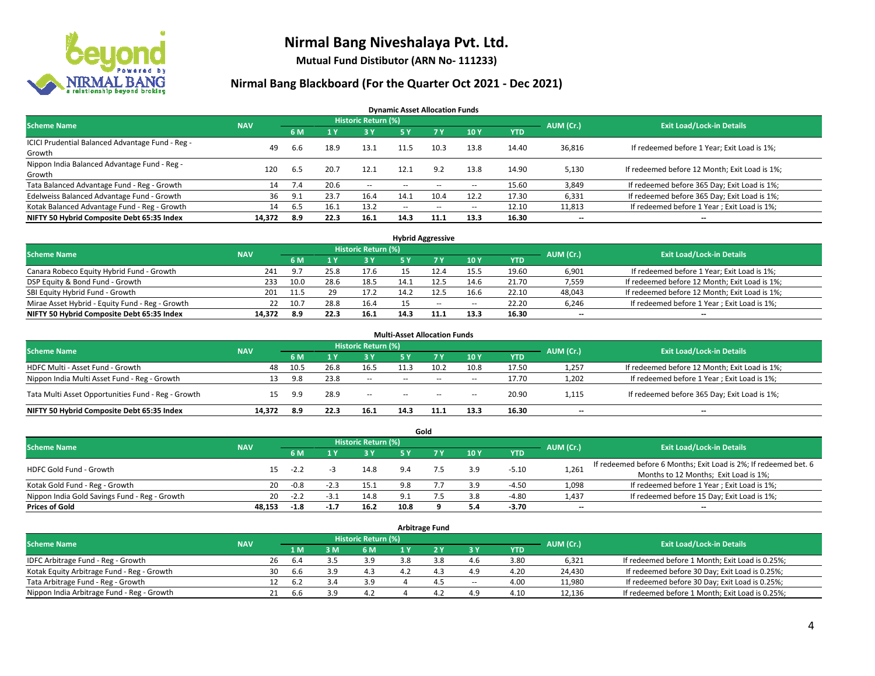

**Mutual Fund Distibutor (ARN No- 111233)**

#### **Nirmal Bang Blackboard (For the Quarter Oct 2021 - Dec 2021)**

**Dynamic Asset Allocation Funds**

| <b>Scheme Name</b>                                         | <b>NAV</b> |     |      | Historic Return (%) |                          |       |       |            | AUM (Cr.) | <b>Exit Load/Lock-in Details</b>              |
|------------------------------------------------------------|------------|-----|------|---------------------|--------------------------|-------|-------|------------|-----------|-----------------------------------------------|
|                                                            |            | 6 M |      | <b>3Y</b>           | 5 Y                      | 7 Y   | 10Y   | <b>YTD</b> |           |                                               |
| ICICI Prudential Balanced Advantage Fund - Reg -<br>Growth | 49         | 6.6 | 18.9 | 13.1                | 11.5                     | 10.3  | 13.8  | 14.40      | 36,816    | If redeemed before 1 Year; Exit Load is 1%;   |
| Nippon India Balanced Advantage Fund - Reg -<br>Growth     | 120        | 6.5 | 20.7 | 12.1                | 12.1                     | 9.2   | 13.8  | 14.90      | 5,130     | If redeemed before 12 Month; Exit Load is 1%; |
| Tata Balanced Advantage Fund - Reg - Growth                | 14         | 7.4 | 20.6 | $\sim$              | $\overline{\phantom{a}}$ | $- -$ | $\!-$ | 15.60      | 3,849     | If redeemed before 365 Day; Exit Load is 1%;  |
| Edelweiss Balanced Advantage Fund - Growth                 | 36         | 9.1 | 23.7 | 16.4                | 14.1                     | 10.4  | 12.2  | 17.30      | 6,331     | If redeemed before 365 Day; Exit Load is 1%;  |
| Kotak Balanced Advantage Fund - Reg - Growth               | 14         | 6.5 | 16.1 | 13.2                | $\sim$ $\sim$            | $- -$ | $\!-$ | 12.10      | 11,813    | If redeemed before 1 Year; Exit Load is 1%;   |
| NIFTY 50 Hybrid Composite Debt 65:35 Index                 | 14,372     | 8.9 | 22.3 | 16.1                | 14.3                     | 11.1  | 13.3  | 16.30      | --        | --                                            |

| <b>Hybrid Aggressive</b>                        |            |      |      |                            |      |        |        |            |           |                                               |  |  |  |
|-------------------------------------------------|------------|------|------|----------------------------|------|--------|--------|------------|-----------|-----------------------------------------------|--|--|--|
| <b>Scheme Name</b>                              | <b>NAV</b> |      |      | <b>Historic Return (%)</b> |      |        |        |            | AUM (Cr.) | <b>Exit Load/Lock-in Details</b>              |  |  |  |
|                                                 |            | 6 M  |      | 3 Y                        |      |        | 10Y    | <b>YTD</b> |           |                                               |  |  |  |
| Canara Robeco Equity Hybrid Fund - Growth       | 241        | 9.7  | 25.8 | 17.6                       |      |        | 15.5   | 19.60      | 6,901     | If redeemed before 1 Year; Exit Load is 1%;   |  |  |  |
| DSP Equity & Bond Fund - Growth                 | 233        | 10.0 | 28.6 | 18.5                       |      |        | 14.6   | 21.70      | 7,559     | If redeemed before 12 Month; Exit Load is 1%; |  |  |  |
| SBI Equity Hybrid Fund - Growth                 | 201        | 11.5 | 29   | 17.2                       | 14.2 |        | 16.6   | 22.10      | 48,043    | If redeemed before 12 Month; Exit Load is 1%; |  |  |  |
| Mirae Asset Hybrid - Equity Fund - Reg - Growth | 22         | 10.7 | 28.8 | 16.4                       |      | $\sim$ | $\sim$ | 22.20      | 6,246     | If redeemed before 1 Year; Exit Load is 1%;   |  |  |  |
| NIFTY 50 Hybrid Composite Debt 65:35 Index      | 14.372     | -8.9 | 22.3 | 16.1                       | 14.3 |        | 13.3   | 16.30      | $- -$     | $- -$                                         |  |  |  |

|                                                    |            |      |      |                            | <b>Multi-Asset Allocation Funds</b> |        |       |            |                          |                                               |
|----------------------------------------------------|------------|------|------|----------------------------|-------------------------------------|--------|-------|------------|--------------------------|-----------------------------------------------|
| <b>Scheme Name</b>                                 | <b>NAV</b> |      |      | <b>Historic Return (%)</b> |                                     |        |       |            | AUM (Cr.)                | <b>Exit Load/Lock-in Details</b>              |
|                                                    |            | 6 M  |      | 3V                         | 5 Y                                 | 7V     | 10Y   | <b>YTD</b> |                          |                                               |
| HDFC Multi - Asset Fund - Growth                   | 48         | 10.5 | 26.8 | 16.5                       |                                     | 10.2   | 10.8  | 17.50      | 1,257                    | If redeemed before 12 Month; Exit Load is 1%; |
| Nippon India Multi Asset Fund - Reg - Growth       | 13         | 9.8  | 23.8 | $\sim$                     | $\sim$                              | $\sim$ | $\!-$ | 17.70      | 1,202                    | If redeemed before 1 Year; Exit Load is 1%;   |
| Tata Multi Asset Opportunities Fund - Reg - Growth | 15         | 9.9  | 28.9 | $-$                        | $\sim$                              | $\sim$ | --    | 20.90      | 1,115                    | If redeemed before 365 Day; Exit Load is 1%;  |
| NIFTY 50 Hybrid Composite Debt 65:35 Index         | 14.372     | 8.9  | 22.3 | 16.1                       | 14.3                                | 11.1   | 13.3  | 16.30      | $\overline{\phantom{a}}$ | --                                            |

|                                               |            |        |        |                            |      | Gold |     |            |           |                                                                  |
|-----------------------------------------------|------------|--------|--------|----------------------------|------|------|-----|------------|-----------|------------------------------------------------------------------|
| <b>Scheme Name</b>                            | <b>NAV</b> |        |        | <b>Historic Return (%)</b> |      |      |     |            | AUM (Cr.) | <b>Exit Load/Lock-in Details</b>                                 |
|                                               |            | 6 M    |        | <b>3 Y</b>                 | 5 Y  |      | 10Y | <b>YTD</b> |           |                                                                  |
| HDFC Gold Fund - Growth                       |            | $-2.2$ |        | 14.8                       | 9.4  |      | 3.9 | $-5.10$    |           | If redeemed before 6 Months; Exit Load is 2%; If redeemed bet. 6 |
|                                               | 15         |        |        |                            |      |      |     |            | 1,261     | Months to 12 Months; Exit Load is 1%;                            |
| Kotak Gold Fund - Reg - Growth                | 20         | -0.8   | $-2.3$ | 15.1                       |      |      | 3.9 | $-4.50$    | 1,098     | If redeemed before 1 Year; Exit Load is 1%;                      |
| Nippon India Gold Savings Fund - Reg - Growth | 20         | $-2.2$ | -3.    | 14.8                       |      |      | 3.8 | $-4.80$    | 1,437     | If redeemed before 15 Day; Exit Load is 1%;                      |
| <b>Prices of Gold</b>                         | 48.153     | $-1.8$ | $-1.7$ | 16.2                       | 10.8 |      | 5.4 | -3.70      | $- -$     | $\overline{\phantom{a}}$                                         |

| <b>Arbitrage Fund</b>                      |            |    |      |     |                     |     |                |        |            |           |                                                 |  |  |
|--------------------------------------------|------------|----|------|-----|---------------------|-----|----------------|--------|------------|-----------|-------------------------------------------------|--|--|
| <b>Scheme Name</b>                         | <b>NAV</b> |    |      |     | Historic Return (%) |     |                |        |            | AUM (Cr.) | <b>Exit Load/Lock-in Details</b>                |  |  |
|                                            |            |    | 1 M  | 3 M | 6 M                 |     |                | 3 Y    | <b>YTD</b> |           |                                                 |  |  |
| IDFC Arbitrage Fund - Reg - Growth         |            | 26 | 6.4  |     | 3.9                 | 3.8 | 3.8            | 4.6    | 3.80       | 6,321     | If redeemed before 1 Month; Exit Load is 0.25%; |  |  |
| Kotak Equity Arbitrage Fund - Reg - Growth |            | 30 | .6.b | 3.9 | 4.3                 |     | 1 <sup>2</sup> | 4.9    | 4.20       | 24,430    | If redeemed before 30 Day; Exit Load is 0.25%;  |  |  |
| Tata Arbitrage Fund - Reg - Growth         |            | 12 | 6.2  |     | 3.9                 |     |                | $\sim$ | 4.00       | 11,980    | If redeemed before 30 Day; Exit Load is 0.25%;  |  |  |
| Nippon India Arbitrage Fund - Reg - Growth |            | 21 | b.b  | 3.9 | 4.2                 |     | 4.4            | 4.9    | 4.10       | 12,136    | If redeemed before 1 Month; Exit Load is 0.25%; |  |  |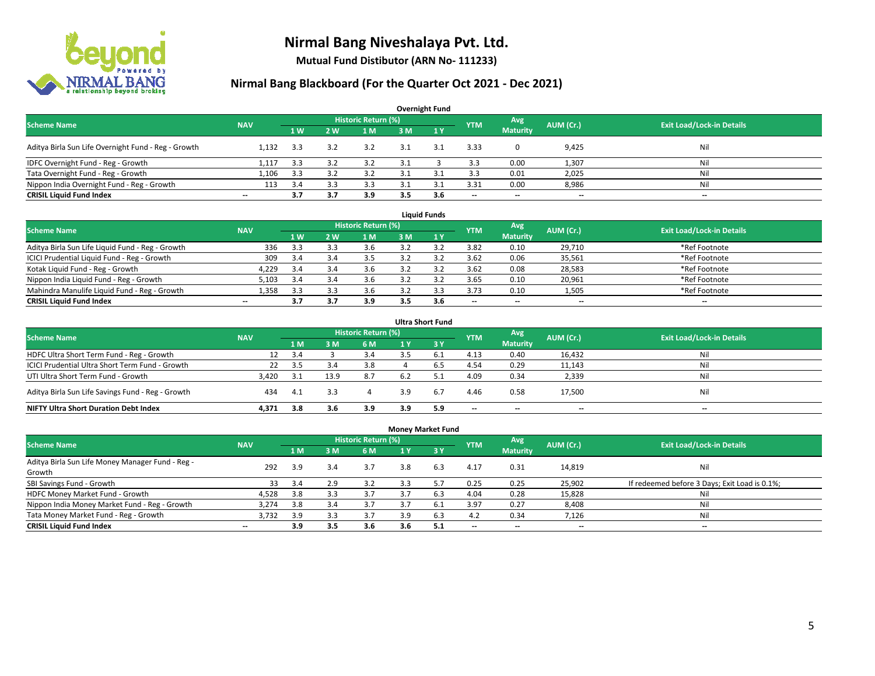

**Mutual Fund Distibutor (ARN No- 111233)**

| <b>Overnight Fund</b>                               |                          |     |                |                            |     |              |            |                 |           |                                  |  |  |  |  |
|-----------------------------------------------------|--------------------------|-----|----------------|----------------------------|-----|--------------|------------|-----------------|-----------|----------------------------------|--|--|--|--|
| <b>Scheme Name</b>                                  | <b>NAV</b>               |     |                | <b>Historic Return (%)</b> |     |              | <b>YTM</b> | Avg             | AUM (Cr.) | <b>Exit Load/Lock-in Details</b> |  |  |  |  |
|                                                     |                          | 1W  | 2 <sub>w</sub> | 1 M                        | 3 M | $\sqrt{1}$ Y |            | <b>Maturity</b> |           |                                  |  |  |  |  |
| Aditya Birla Sun Life Overnight Fund - Reg - Growth | 1.132                    | 3.3 | 3.2            | 3.2                        | 3.1 | 3.1          | 3.33       |                 | 9,425     | Nil                              |  |  |  |  |
| IDFC Overnight Fund - Reg - Growth                  | 1,117                    | 3.3 |                |                            |     |              | 3.3        | 0.00            | 1,307     | Nil                              |  |  |  |  |
| Tata Overnight Fund - Reg - Growth                  | 1.106                    | 3.3 |                |                            |     |              | 3.3        | 0.01            | 2,025     | Nil                              |  |  |  |  |
| Nippon India Overnight Fund - Reg - Growth          | 113                      | 3.4 |                | 3.3                        |     |              | 3.31       | 0.00            | 8,986     | Nil                              |  |  |  |  |
| <b>CRISIL Liquid Fund Index</b>                     | $\overline{\phantom{a}}$ | 3.7 | 3.7            | 3.9                        | 3.5 | 3.6          | --         | $- -$           | $- -$     | $-$                              |  |  |  |  |

| <b>Liquid Funds</b>                              |            |                |     |                     |     |     |            |                          |           |                                  |  |  |  |
|--------------------------------------------------|------------|----------------|-----|---------------------|-----|-----|------------|--------------------------|-----------|----------------------------------|--|--|--|
| <b>Scheme Name</b>                               | <b>NAV</b> |                |     | Historic Return (%) |     |     | <b>YTM</b> | Avg                      | AUM (Cr.) | <b>Exit Load/Lock-in Details</b> |  |  |  |
|                                                  |            | 1 <sub>W</sub> | 2 W | 1 M                 | 3 M |     |            | <b>Maturity</b>          |           |                                  |  |  |  |
| Aditya Birla Sun Life Liquid Fund - Reg - Growth | 336        | 3.3            |     | 3.6                 |     |     | 3.82       | 0.10                     | 29.710    | *Ref Footnote                    |  |  |  |
| ICICI Prudential Liquid Fund - Reg - Growth      | 309        | 3.4            |     | 3.5                 |     |     | 3.62       | 0.06                     | 35,561    | *Ref Footnote                    |  |  |  |
| Kotak Liquid Fund - Reg - Growth                 | 4,229      | 3.4            |     | 3.6                 |     |     | 3.62       | 0.08                     | 28,583    | *Ref Footnote                    |  |  |  |
| Nippon India Liquid Fund - Reg - Growth          | 5,103      |                |     | 3.6                 |     |     | 3.65       | 0.10                     | 20,961    | *Ref Footnote                    |  |  |  |
| Mahindra Manulife Liquid Fund - Reg - Growth     | 1.358      | 3.3            |     | 3.6                 |     |     | 3.73       | 0.10                     | 1,505     | *Ref Footnote                    |  |  |  |
| <b>CRISIL Liquid Fund Index</b>                  | $- -$      |                | 3.7 | 3.9                 | 3.5 | 3.6 | $- -$      | $\overline{\phantom{a}}$ | $- -$     | $\overline{\phantom{a}}$         |  |  |  |

| <b>Ultra Short Fund</b>                           |            |      |      |                            |     |              |                          |                          |           |                                  |  |  |  |
|---------------------------------------------------|------------|------|------|----------------------------|-----|--------------|--------------------------|--------------------------|-----------|----------------------------------|--|--|--|
| <b>Scheme Name</b>                                | <b>NAV</b> |      |      | <b>Historic Return (%)</b> |     |              | <b>YTM</b>               | Avg                      | AUM (Cr.) | <b>Exit Load/Lock-in Details</b> |  |  |  |
|                                                   |            | 1 M  | 3 M  | 6 M                        | 1 Y | $\sqrt{3}$ Y |                          | <b>Maturity</b>          |           |                                  |  |  |  |
| HDFC Ultra Short Term Fund - Reg - Growth         | 12         | -3.4 |      | 3.4                        |     | <b>5</b>     | 4.13                     | 0.40                     | 16,432    | Nil                              |  |  |  |
| ICICI Prudential Ultra Short Term Fund - Growth   | 22         | -3.5 |      | 3.8                        |     |              | 4.54                     | 0.29                     | 11,143    | Nil                              |  |  |  |
| UTI Ultra Short Term Fund - Growth                | 3.420      | -3.1 | 13.9 | 8.7                        | 6.2 |              | 4.09                     | 0.34                     | 2,339     | Nil                              |  |  |  |
| Aditya Birla Sun Life Savings Fund - Reg - Growth | 434        | 4.1  | 3.3  |                            | 3.9 | 6.7          | 4.46                     | 0.58                     | 17,500    | Nil                              |  |  |  |
| <b>NIFTY Ultra Short Duration Debt Index</b>      | 4.371      | 3.8  | 3.6  | 3.9                        | 3.9 | 5.9          | $\overline{\phantom{a}}$ | $\overline{\phantom{a}}$ | --        | $-$                              |  |  |  |

| <b>Money Market Fund</b>                         |            |     |     |                     |     |                 |            |                          |                          |                                               |  |  |  |  |
|--------------------------------------------------|------------|-----|-----|---------------------|-----|-----------------|------------|--------------------------|--------------------------|-----------------------------------------------|--|--|--|--|
| <b>Scheme Name</b>                               | <b>NAV</b> |     |     | Historic Return (%) |     |                 | <b>YTM</b> | Avg                      | AUM (Cr.)                | <b>Exit Load/Lock-in Details</b>              |  |  |  |  |
|                                                  |            | 7 M | 3 M | 6 M                 | 1 Y | $\overline{3V}$ |            | <b>Maturity</b>          |                          |                                               |  |  |  |  |
| Aditya Birla Sun Life Money Manager Fund - Reg - | 292        | 3.9 | 3.4 | 3.7                 | 3.8 | 6.3             | 4.17       | 0.31                     | 14,819                   | Nil                                           |  |  |  |  |
| Growth                                           |            |     |     |                     |     |                 |            |                          |                          |                                               |  |  |  |  |
| SBI Savings Fund - Growth                        | 33         | 3.4 | 2.9 | 3.2                 | 3.3 | 5.7             | 0.25       | 0.25                     | 25,902                   | If redeemed before 3 Days; Exit Load is 0.1%; |  |  |  |  |
| HDFC Money Market Fund - Growth                  | 4,528      | 3.8 | 3.3 | 3.7                 | 3.7 | 6.3             | 4.04       | 0.28                     | 15,828                   | Nil                                           |  |  |  |  |
| Nippon India Money Market Fund - Reg - Growth    | 3,274      | 3.8 | 3.4 | 3.7                 |     | -6.1            | 3.97       | 0.27                     | 8,408                    | Nil                                           |  |  |  |  |
| Tata Money Market Fund - Reg - Growth            | 3.732      | 3.9 | 3.3 | 3.7                 | 3.9 | 6.3             | 4.2        | 0.34                     | 7,126                    | Nil                                           |  |  |  |  |
| <b>CRISIL Liquid Fund Index</b>                  | $- -$      | 3.9 | 3.5 | 3.6                 | 3.6 | - 5.1           | --         | $\overline{\phantom{a}}$ | $\overline{\phantom{a}}$ | $-$                                           |  |  |  |  |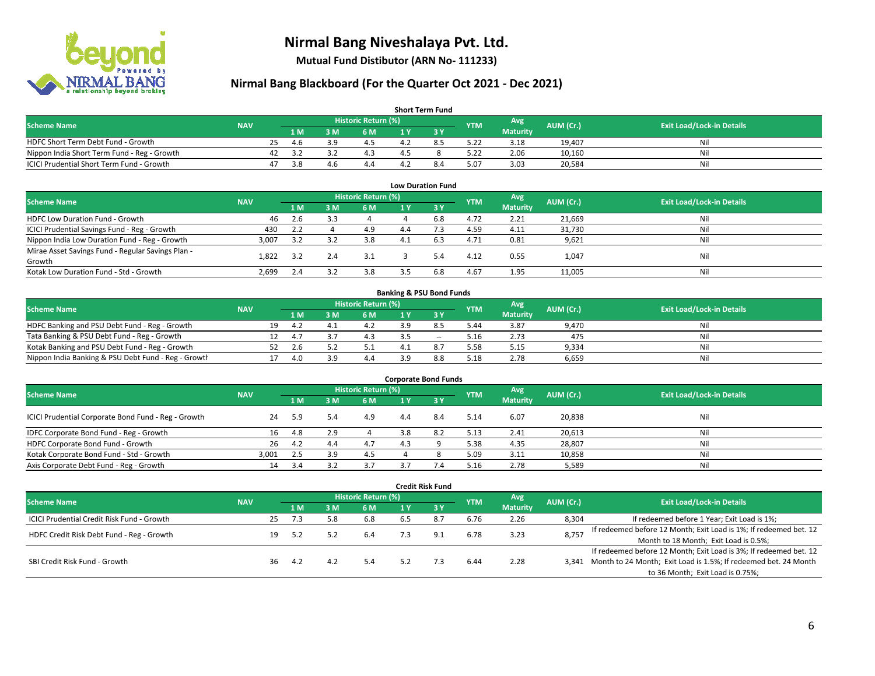

**Mutual Fund Distibutor (ARN No- 111233)**

| <b>Short Term Fund</b>                           |            |    |     |           |                     |  |     |            |                 |           |                                  |  |  |  |
|--------------------------------------------------|------------|----|-----|-----------|---------------------|--|-----|------------|-----------------|-----------|----------------------------------|--|--|--|
| <b>Scheme Name</b>                               | <b>NAV</b> |    |     |           | Historic Return (%) |  |     | <b>YTM</b> | Avg             | AUM (Cr.) | <b>Exit Load/Lock-in Details</b> |  |  |  |
|                                                  |            |    | 1 M | 3 M       | 6 M                 |  |     |            | <b>Maturity</b> |           |                                  |  |  |  |
| HDFC Short Term Debt Fund - Growth               |            | 25 | 4 h | <b>20</b> |                     |  | 8.5 | 5.22       | 3.18            | 19,407    | Nil                              |  |  |  |
| Nippon India Short Term Fund - Reg - Growth      |            |    |     |           |                     |  |     | 5.22       | 2.06            | 10,160    | Nil                              |  |  |  |
| <b>ICICI Prudential Short Term Fund - Growth</b> |            |    | 3.8 | 4.b       | 4.4                 |  | 8.4 | 5.07       | 3.03            | 20,584    | Nil                              |  |  |  |

| <b>Low Duration Fund</b>                          |            |      |     |                            |     |      |            |                 |           |                                  |  |  |  |
|---------------------------------------------------|------------|------|-----|----------------------------|-----|------|------------|-----------------|-----------|----------------------------------|--|--|--|
| <b>Scheme Name</b>                                | <b>NAV</b> |      |     | <b>Historic Return (%)</b> |     |      | <b>YTM</b> | Avg             | AUM (Cr.) | <b>Exit Load/Lock-in Details</b> |  |  |  |
|                                                   |            | 1 M  | 3 M | 6 M                        |     | -3 Y |            | <b>Maturity</b> |           |                                  |  |  |  |
| HDFC Low Duration Fund - Growth                   | 46         | 2.6  |     |                            |     | 6.8  | 4.72       | 2.21            | 21,669    | Nil                              |  |  |  |
| ICICI Prudential Savings Fund - Reg - Growth      | 430        | 2.2  |     | 4.9                        | 4.4 |      | 4.59       | 4.11            | 31,730    | Nil                              |  |  |  |
| Nippon India Low Duration Fund - Reg - Growth     | 3,007      | 3.2  |     | 3.8                        | 4.1 | 6.3  | 4.71       | 0.81            | 9,621     | Nil                              |  |  |  |
| Mirae Asset Savings Fund - Regular Savings Plan - |            | -3.2 |     | 3.1                        |     |      | 4.12       |                 |           | Nil                              |  |  |  |
| Growth                                            | 1.822      |      |     |                            |     | 5.4  |            | 0.55            | 1,047     |                                  |  |  |  |
| Kotak Low Duration Fund - Std - Growth            | 2,699      | 2.4  |     | 3.8                        |     | 6.8  | 4.67       | 1.95            | 11,005    | Nil                              |  |  |  |

| <b>Banking &amp; PSU Bond Funds</b>                 |            |  |      |     |                     |    |       |            |                 |           |                                  |  |  |  |
|-----------------------------------------------------|------------|--|------|-----|---------------------|----|-------|------------|-----------------|-----------|----------------------------------|--|--|--|
| <b>Scheme Name</b>                                  | <b>NAV</b> |  |      |     | Historic Return (%) |    |       | <b>YTM</b> | Avg             | AUM (Cr.) | <b>Exit Load/Lock-in Details</b> |  |  |  |
|                                                     |            |  | 4 M. | 3 M | 6 M                 |    |       |            | <b>Maturity</b> |           |                                  |  |  |  |
| HDFC Banking and PSU Debt Fund - Reg - Growth       |            |  | 4.2  |     | 4.2                 | эa | 8.5   | 5.44       | 3.87            | 9.470     | Nil                              |  |  |  |
| Tata Banking & PSU Debt Fund - Reg - Growth         |            |  | 4.1  |     |                     |    | $- -$ | 5.16       | 2.73            | 475       | Nil                              |  |  |  |
| Kotak Banking and PSU Debt Fund - Reg - Growth      |            |  | 2.6  |     |                     |    |       | 5.58       | 5.15            | 9.334     | Nil                              |  |  |  |
| Nippon India Banking & PSU Debt Fund - Reg - Growth |            |  | 4.0  | 3 Q | 4.4                 |    | 8.8   | 5.18       | 2.78            | 6.659     | Nil                              |  |  |  |

| <b>Corporate Bond Funds</b>                         |            |     |     |                            |     |      |            |                 |           |                                  |  |
|-----------------------------------------------------|------------|-----|-----|----------------------------|-----|------|------------|-----------------|-----------|----------------------------------|--|
| <b>Scheme Name</b>                                  | <b>NAV</b> |     |     | <b>Historic Return (%)</b> |     |      | <b>YTM</b> | Avg             | AUM (Cr.) | <b>Exit Load/Lock-in Details</b> |  |
|                                                     |            | 1 M | 3 M | 6 M                        |     | -3 Y |            | <b>Maturity</b> |           |                                  |  |
| ICICI Prudential Corporate Bond Fund - Reg - Growth | 24         | 5.9 |     | 4.9                        | 4.4 | 8.4  | 5.14       | 6.07            | 20,838    | Nil                              |  |
| IDFC Corporate Bond Fund - Reg - Growth             | 16         | 4.8 | 2.9 |                            | 3.8 |      | 5.13       | 2.41            | 20,613    | Nil                              |  |
| HDFC Corporate Bond Fund - Growth                   | 26         | 4.2 | 4.4 | 4.7                        |     |      | 5.38       | 4.35            | 28,807    | Nil                              |  |
| Kotak Corporate Bond Fund - Std - Growth            | 3.001      | 2.5 | 3.9 | 4.5                        |     |      | 5.09       | 3.11            | 10,858    | Nil                              |  |
| Axis Corporate Debt Fund - Reg - Growth             | 14         | 3.4 |     |                            |     |      | 5.16       | 2.78            | 5,589     | Nil                              |  |

| Credit Risk Fund                           |            |    |     |     |                            |     |         |            |                 |           |                                                                       |
|--------------------------------------------|------------|----|-----|-----|----------------------------|-----|---------|------------|-----------------|-----------|-----------------------------------------------------------------------|
| <b>Scheme Name</b>                         | <b>NAV</b> |    |     |     | <b>Historic Return (%)</b> |     |         |            | Avg             | AUM (Cr.) | <b>Exit Load/Lock-in Details</b>                                      |
|                                            |            |    | 1 M | 3 M | 6 M                        | 1 Y | $Z_3$ Y | <b>YTM</b> | <b>Maturity</b> |           |                                                                       |
| ICICI Prudential Credit Risk Fund - Growth |            | 25 | 7.3 | 5.8 | 6.8                        | 6.5 | 8.7     | 6.76       | 2.26            | 8,304     | If redeemed before 1 Year; Exit Load is 1%;                           |
| HDFC Credit Risk Debt Fund - Reg - Growth  |            |    | 5.2 | 5.3 | 6.4                        |     | 9.1     | 6.78       | 3.23            | 8,757     | If redeemed before 12 Month; Exit Load is 1%; If redeemed bet. 12     |
|                                            |            |    |     |     |                            |     |         |            |                 |           | Month to 18 Month; Exit Load is 0.5%;                                 |
|                                            |            |    |     |     |                            |     |         |            |                 |           | If redeemed before 12 Month; Exit Load is 3%; If redeemed bet. 12     |
| SBI Credit Risk Fund - Growth              |            | 36 | 4.2 | 4.2 | 5.4                        | 5.2 |         | 6.44       | 2.28            |           | 3,341 Month to 24 Month; Exit Load is 1.5%; If redeemed bet. 24 Month |
|                                            |            |    |     |     |                            |     |         |            |                 |           | to 36 Month; Exit Load is 0.75%;                                      |